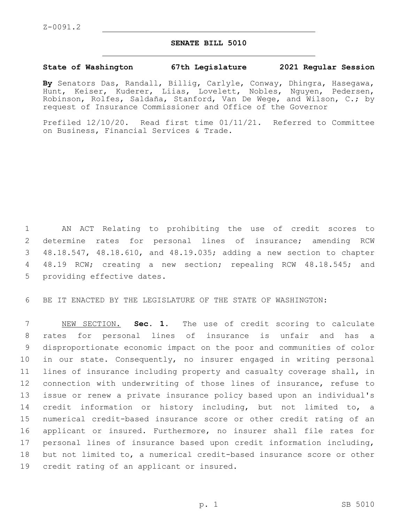## **SENATE BILL 5010**

## **State of Washington 67th Legislature 2021 Regular Session**

**By** Senators Das, Randall, Billig, Carlyle, Conway, Dhingra, Hasegawa, Hunt, Keiser, Kuderer, Liias, Lovelett, Nobles, Nguyen, Pedersen, Robinson, Rolfes, Saldaña, Stanford, Van De Wege, and Wilson, C.; by request of Insurance Commissioner and Office of the Governor

Prefiled 12/10/20. Read first time 01/11/21. Referred to Committee on Business, Financial Services & Trade.

 AN ACT Relating to prohibiting the use of credit scores to determine rates for personal lines of insurance; amending RCW 48.18.547, 48.18.610, and 48.19.035; adding a new section to chapter 48.19 RCW; creating a new section; repealing RCW 48.18.545; and 5 providing effective dates.

BE IT ENACTED BY THE LEGISLATURE OF THE STATE OF WASHINGTON:

 NEW SECTION. **Sec. 1.** The use of credit scoring to calculate rates for personal lines of insurance is unfair and has a disproportionate economic impact on the poor and communities of color in our state. Consequently, no insurer engaged in writing personal lines of insurance including property and casualty coverage shall, in connection with underwriting of those lines of insurance, refuse to issue or renew a private insurance policy based upon an individual's credit information or history including, but not limited to, a numerical credit-based insurance score or other credit rating of an applicant or insured. Furthermore, no insurer shall file rates for personal lines of insurance based upon credit information including, but not limited to, a numerical credit-based insurance score or other credit rating of an applicant or insured.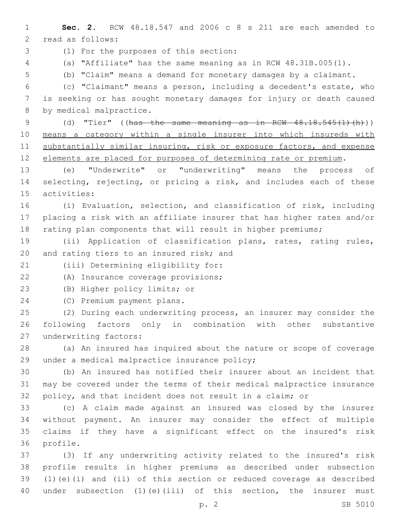**Sec. 2.** RCW 48.18.547 and 2006 c 8 s 211 are each amended to 2 read as follows: (1) For the purposes of this section:3 (a) "Affiliate" has the same meaning as in RCW 48.31B.005(1). (b) "Claim" means a demand for monetary damages by a claimant. (c) "Claimant" means a person, including a decedent's estate, who is seeking or has sought monetary damages for injury or death caused 8 by medical malpractice. 9 (d) "Tier" ((has the same meaning as in RCW 48.18.545(1)(h))) means a category within a single insurer into which insureds with 11 substantially similar insuring, risk or exposure factors, and expense elements are placed for purposes of determining rate or premium. (e) "Underwrite" or "underwriting" means the process of selecting, rejecting, or pricing a risk, and includes each of these 15 activities: (i) Evaluation, selection, and classification of risk, including placing a risk with an affiliate insurer that has higher rates and/or 18 rating plan components that will result in higher premiums; (ii) Application of classification plans, rates, rating rules, 20 and rating tiers to an insured risk; and 21 (iii) Determining eligibility for: 22 (A) Insurance coverage provisions; 23 (B) Higher policy limits; or 24 (C) Premium payment plans. (2) During each underwriting process, an insurer may consider the following factors only in combination with other substantive 27 underwriting factors: (a) An insured has inquired about the nature or scope of coverage 29 under a medical malpractice insurance policy; (b) An insured has notified their insurer about an incident that may be covered under the terms of their medical malpractice insurance policy, and that incident does not result in a claim; or (c) A claim made against an insured was closed by the insurer without payment. An insurer may consider the effect of multiple claims if they have a significant effect on the insured's risk 36 profile. (3) If any underwriting activity related to the insured's risk profile results in higher premiums as described under subsection (1)(e)(i) and (ii) of this section or reduced coverage as described under subsection (1)(e)(iii) of this section, the insurer must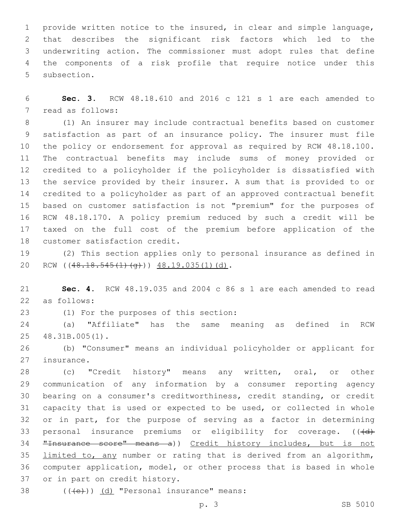provide written notice to the insured, in clear and simple language, that describes the significant risk factors which led to the underwriting action. The commissioner must adopt rules that define the components of a risk profile that require notice under this 5 subsection.

 **Sec. 3.** RCW 48.18.610 and 2016 c 121 s 1 are each amended to 7 read as follows:

 (1) An insurer may include contractual benefits based on customer satisfaction as part of an insurance policy. The insurer must file the policy or endorsement for approval as required by RCW 48.18.100. The contractual benefits may include sums of money provided or credited to a policyholder if the policyholder is dissatisfied with the service provided by their insurer. A sum that is provided to or credited to a policyholder as part of an approved contractual benefit based on customer satisfaction is not "premium" for the purposes of RCW 48.18.170. A policy premium reduced by such a credit will be taxed on the full cost of the premium before application of the 18 customer satisfaction credit.

 (2) This section applies only to personal insurance as defined in 20 RCW ((48.18.545(1)(q))) 48.19.035(1)(d).

 **Sec. 4.** RCW 48.19.035 and 2004 c 86 s 1 are each amended to read as follows:22

(1) For the purposes of this section:23

 (a) "Affiliate" has the same meaning as defined in RCW 25 48.31B.005(1).

 (b) "Consumer" means an individual policyholder or applicant for 27 insurance.

 (c) "Credit history" means any written, oral, or other communication of any information by a consumer reporting agency bearing on a consumer's creditworthiness, credit standing, or credit capacity that is used or expected to be used, or collected in whole or in part, for the purpose of serving as a factor in determining 33 personal insurance premiums or eligibility for coverage.  $((\dagger d)$ 34 "Insurance score" means a)) Credit history includes, but is not limited to, any number or rating that is derived from an algorithm, computer application, model, or other process that is based in whole 37 or in part on credit history.

 $($   $((+e+))$   $(d)$  "Personal insurance" means:

p. 3 SB 5010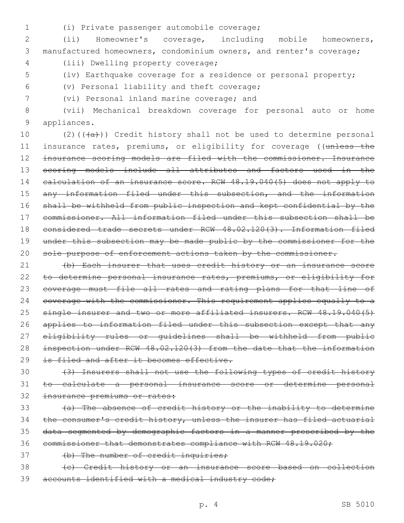- 
- (i) Private passenger automobile coverage;1

2 (ii) Homeowner's coverage, including mobile homeowners, 3 manufactured homeowners, condominium owners, and renter's coverage;

(iii) Dwelling property coverage;4

5 (iv) Earthquake coverage for a residence or personal property;

(v) Personal liability and theft coverage;6

(vi) Personal inland marine coverage; and7

8 (vii) Mechanical breakdown coverage for personal auto or home 9 appliances.

10  $(2)((+a))$  Credit history shall not be used to determine personal 11 insurance rates, premiums, or eligibility for coverage ((unless the 12 insurance scoring models are filed with the commissioner. Insurance 13 scoring models include all attributes and factors used in the 14 calculation of an insurance score. RCW 48.19.040(5) does not apply to 15 any information filed under this subsection, and the information 16 shall be withheld from public inspection and kept confidential by the 17 commissioner. All information filed under this subsection shall be 18 considered trade secrets under RCW 48.02.120(3). Information filed 19 under this subsection may be made public by the commissioner for the 20 sole purpose of enforcement actions taken by the commissioner.

21 (b) Each insurer that uses credit history or an insurance score 22 to determine personal insurance rates, premiums, or eligibility for 23 coverage must file all rates and rating plans for that line of 24 coverage with the commissioner. This requirement applies equally to a 25 single insurer and two or more affiliated insurers. RCW 48.19.040(5) 26 applies to information filed under this subsection except that any 27 eligibility rules or guidelines shall be withheld from public 28 inspection under RCW 48.02.120(3) from the date that the information 29 is filed and after it becomes effective.

30 (3) Insurers shall not use the following types of credit history 31 to calculate a personal insurance score or determine personal 32 insurance premiums or rates:

33 (a) The absence of credit history or the inability to determine 34 the consumer's credit history, unless the insurer has filed actuarial 35 data segmented by demographic factors in a manner prescribed by the 36 commissioner that demonstrates compliance with RCW 48.19.020;

37 (b) The number of credit inquiries;

38 (c) Credit history or an insurance score based on collection 39 accounts identified with a medical industry code;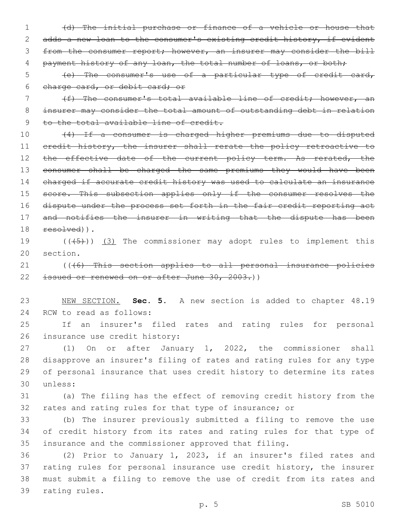1 (d) The initial purchase or finance of a vehicle or house that 2 adds a new loan to the consumer's existing credit history, if evident 3 from the consumer report; however, an insurer may consider the bill 4 payment history of any loan, the total number of loans, or both;

5 (e) The consumer's use of a particular type of credit card, 6 charge card, or debit card; or

7 (f) The consumer's total available line of credit; however, an 8 insurer may consider the total amount of outstanding debt in relation 9 to the total available line of credit.

10 (4) If a consumer is charged higher premiums due to disputed 11 credit history, the insurer shall rerate the policy retroactive to 12 the effective date of the current policy term. As rerated, the 13 consumer shall be charged the same premiums they would have been 14 charged if accurate credit history was used to calculate an insurance 15 score. This subsection applies only if the consumer resolves the 16 dispute under the process set forth in the fair credit reporting act 17 and notifies the insurer in writing that the dispute has been 18 resolved)).

19  $((+5+))$   $(3)$  The commissioner may adopt rules to implement this 20 section.

21 (((6) This section applies to all personal insurance policies 22 issued or renewed on or after June 30, 2003.))

23 NEW SECTION. **Sec. 5.** A new section is added to chapter 48.19 24 RCW to read as follows:

25 If an insurer's filed rates and rating rules for personal 26 insurance use credit history:

 (1) On or after January 1, 2022, the commissioner shall disapprove an insurer's filing of rates and rating rules for any type of personal insurance that uses credit history to determine its rates unless:30

31 (a) The filing has the effect of removing credit history from the 32 rates and rating rules for that type of insurance; or

33 (b) The insurer previously submitted a filing to remove the use 34 of credit history from its rates and rating rules for that type of 35 insurance and the commissioner approved that filing.

 (2) Prior to January 1, 2023, if an insurer's filed rates and rating rules for personal insurance use credit history, the insurer must submit a filing to remove the use of credit from its rates and 39 rating rules.